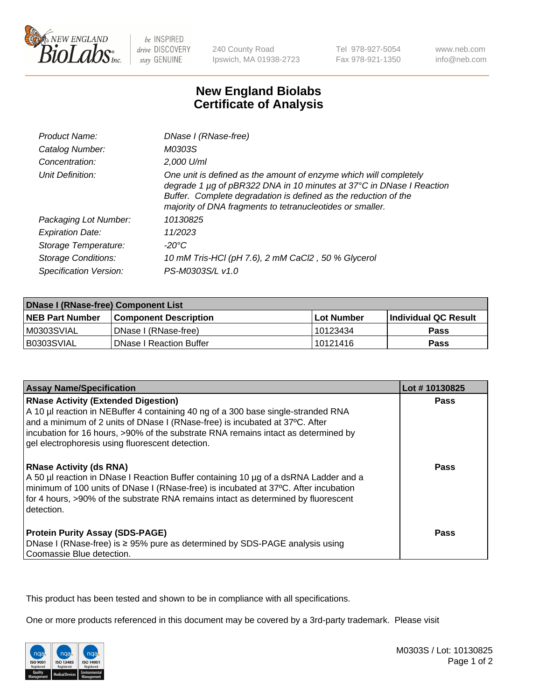

be INSPIRED drive DISCOVERY stay GENUINE

240 County Road Ipswich, MA 01938-2723 Tel 978-927-5054 Fax 978-921-1350

www.neb.com info@neb.com

## **New England Biolabs Certificate of Analysis**

| <b>Product Name:</b>       | DNase I (RNase-free)                                                                                                                                                                                                                                                      |
|----------------------------|---------------------------------------------------------------------------------------------------------------------------------------------------------------------------------------------------------------------------------------------------------------------------|
| Catalog Number:            | M0303S                                                                                                                                                                                                                                                                    |
| Concentration:             | 2,000 U/ml                                                                                                                                                                                                                                                                |
| Unit Definition:           | One unit is defined as the amount of enzyme which will completely<br>degrade 1 µg of pBR322 DNA in 10 minutes at 37°C in DNase I Reaction<br>Buffer. Complete degradation is defined as the reduction of the<br>majority of DNA fragments to tetranucleotides or smaller. |
| Packaging Lot Number:      | 10130825                                                                                                                                                                                                                                                                  |
| <b>Expiration Date:</b>    | 11/2023                                                                                                                                                                                                                                                                   |
| Storage Temperature:       | -20°C                                                                                                                                                                                                                                                                     |
| <b>Storage Conditions:</b> | 10 mM Tris-HCl (pH 7.6), 2 mM CaCl2, 50 % Glycerol                                                                                                                                                                                                                        |
| Specification Version:     | PS-M0303S/L v1.0                                                                                                                                                                                                                                                          |

| DNase I (RNase-free) Component List |                                |                   |                             |  |
|-------------------------------------|--------------------------------|-------------------|-----------------------------|--|
| <b>NEB Part Number</b>              | <b>Component Description</b>   | <b>Lot Number</b> | <b>Individual QC Result</b> |  |
| M0303SVIAL                          | DNase I (RNase-free)           | 10123434          | <b>Pass</b>                 |  |
| I B0303SVIAL                        | <b>DNase I Reaction Buffer</b> | 10121416          | <b>Pass</b>                 |  |

| <b>Assay Name/Specification</b>                                                                                                                                                                                                                                                                                                                           | Lot #10130825 |
|-----------------------------------------------------------------------------------------------------------------------------------------------------------------------------------------------------------------------------------------------------------------------------------------------------------------------------------------------------------|---------------|
| <b>RNase Activity (Extended Digestion)</b><br>A 10 µl reaction in NEBuffer 4 containing 40 ng of a 300 base single-stranded RNA<br>and a minimum of 2 units of DNase I (RNase-free) is incubated at 37°C. After<br>incubation for 16 hours, >90% of the substrate RNA remains intact as determined by<br>gel electrophoresis using fluorescent detection. | Pass          |
| <b>RNase Activity (ds RNA)</b><br>A 50 µl reaction in DNase I Reaction Buffer containing 10 µg of a dsRNA Ladder and a<br>minimum of 100 units of DNase I (RNase-free) is incubated at 37°C. After incubation<br>for 4 hours, >90% of the substrate RNA remains intact as determined by fluorescent<br>detection.                                         | Pass          |
| <b>Protein Purity Assay (SDS-PAGE)</b><br>DNase I (RNase-free) is ≥ 95% pure as determined by SDS-PAGE analysis using<br>Coomassie Blue detection.                                                                                                                                                                                                        | Pass          |

This product has been tested and shown to be in compliance with all specifications.

One or more products referenced in this document may be covered by a 3rd-party trademark. Please visit